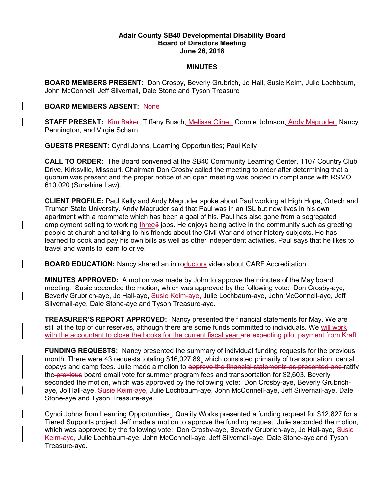## Adair County SB40 Developmental Disability Board Board of Directors Meeting June 26, 2018

## **MINUTES**

BOARD MEMBERS PRESENT: Don Crosby, Beverly Grubrich, Jo Hall, Susie Keim, Julie Lochbaum, John McConnell, Jeff Silvernail, Dale Stone and Tyson Treasure

## BOARD MEMBERS ABSENT: None

**STAFF PRESENT:** Kim Baker, Tiffany Busch, Melissa Cline, -Connie Johnson, Andy Magruder, Nancy Pennington, and Virgie Scharn

GUESTS PRESENT: Cyndi Johns, Learning Opportunities; Paul Kelly

CALL TO ORDER: The Board convened at the SB40 Community Learning Center, 1107 Country Club Drive, Kirksville, Missouri. Chairman Don Crosby called the meeting to order after determining that a quorum was present and the proper notice of an open meeting was posted in compliance with RSMO 610.020 (Sunshine Law).

CLIENT PROFILE: Paul Kelly and Andy Magruder spoke about Paul working at High Hope, Ortech and Truman State University. Andy Magruder said that Paul was in an ISL but now lives in his own apartment with a roommate which has been a goal of his. Paul has also gone from a segregated employment setting to working three3 jobs. He enjoys being active in the community such as greeting people at church and talking to his friends about the Civil War and other history subjects. He has learned to cook and pay his own bills as well as other independent activities. Paul says that he likes to travel and wants to learn to drive.

**BOARD EDUCATION:** Nancy shared an introductory video about CARF Accreditation.

MINUTES APPROVED: A motion was made by John to approve the minutes of the May board meeting. Susie seconded the motion, which was approved by the following vote: Don Crosby-aye, Beverly Grubrich-aye, Jo Hall-aye, Susie Keim-aye, Julie Lochbaum-aye, John McConnell-aye, Jeff Silvernail-aye, Dale Stone-aye and Tyson Treasure-aye.

**TREASURER'S REPORT APPROVED:** Nancy presented the financial statements for May. We are still at the top of our reserves, although there are some funds committed to individuals. We will work with the accountant to close the books for the current fiscal year. are expecting pilot payment from Kraft.

FUNDING REQUESTS: Nancy presented the summary of individual funding requests for the previous month. There were 43 requests totaling \$16,027.89, which consisted primarily of transportation, dental copays and camp fees. Julie made a motion to approve the financial statements as presented and ratify the previous board email vote for summer program fees and transportation for \$2,603. Beverly seconded the motion, which was approved by the following vote: Don Crosby-aye, Beverly Grubrichaye, Jo Hall-aye, Susie Keim-aye, Julie Lochbaum-aye, John McConnell-aye, Jeff Silvernail-aye, Dale Stone-aye and Tyson Treasure-aye.

Cyndi Johns from Learning Opportunities  $\mathcal{L}$ Quality Works presented a funding request for \$12,827 for a Tiered Supports project. Jeff made a motion to approve the funding request. Julie seconded the motion, which was approved by the following vote: Don Crosby-aye, Beverly Grubrich-aye, Jo Hall-aye, Susie Keim-aye, Julie Lochbaum-aye, John McConnell-aye, Jeff Silvernail-aye, Dale Stone-aye and Tyson Treasure-aye.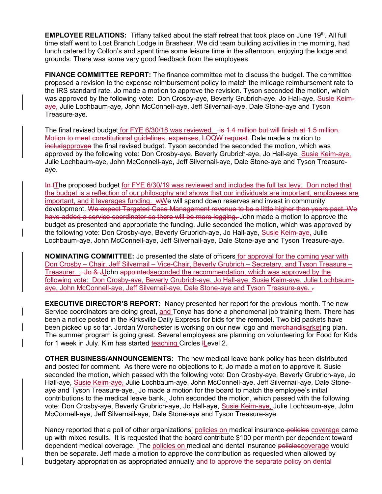EMPLOYEE RELATIONS: Tiffany talked about the staff retreat that took place on June 19<sup>th</sup>. All full time staff went to Lost Branch Lodge in Brashear. We did team building activities in the morning, had lunch catered by Colton's and spent time some leisure time in the afternoon, enjoying the lodge and grounds. There was some very good feedback from the employees.

FINANCE COMMITTEE REPORT: The finance committee met to discuss the budget. The committee proposed a revision to the expense reimbursement policy to match the mileage reimbursement rate to the IRS standard rate. Jo made a motion to approve the revision. Tyson seconded the motion, which was approved by the following vote: Don Crosby-aye, Beverly Grubrich-aye, Jo Hall-aye, Susie Keimaye, Julie Lochbaum-aye, John McConnell-aye, Jeff Silvernail-aye, Dale Stone-aye and Tyson Treasure-aye.

The final revised budget for FYE 6/30/18 was reviewed.  $\div$  4.4 million but will finish at 1.5 million. Motion to meet constitutional guidelines, expenses, LOQW request. Dale made a motion to includapprovee the final revised budget. Tyson seconded the seconded the motion, which was approved by the following vote: Don Crosby-aye, Beverly Grubrich-aye, Jo Hall-aye, Susie Keim-aye, Julie Lochbaum-aye, John McConnell-aye, Jeff Silvernail-aye, Dale Stone-aye and Tyson Treasureaye.

In tThe proposed budget for FYE 6/30/19 was reviewed and includes the full tax levy. Don noted that the budget is a reflection of our philosophy and shows that our individuals are important, employees are important, and it leverages funding. wWe will spend down reserves and invest in community development. We expect Targeted Case Management revenue to be a little higher than years past. We have added a service coordinator so there will be more logging. John made a motion to approve the budget as presented and appropriate the funding. Julie seconded the motion, which was approved by the following vote: Don Crosby-aye, Beverly Grubrich-aye, Jo Hall-aye, Susie Keim-aye, Julie Lochbaum-aye, John McConnell-aye, Jeff Silvernail-aye, Dale Stone-aye and Tyson Treasure-aye.

NOMINATING COMMITTEE: Jo presented the slate of officers for approval for the coming year with Don Crosby – Chair, Jeff Silvernail – Vice-Chair, Beverly Grubrich – Secretary, and Tyson Treasure – Treasurer. . Jo & JJohn appointed seconded the recommendation, which was approved by the following vote: Don Crosby-aye, Beverly Grubrich-aye, Jo Hall-aye, Susie Keim-aye, Julie Lochbaumaye, John McConnell-aye, Jeff Silvernail-aye, Dale Stone-aye and Tyson Treasure-aye. .

**EXECUTIVE DIRECTOR'S REPORT:** Nancy presented her report for the previous month. The new Service coordinators are doing great, and Tonya has done a phenomenal job training them. There has been a notice posted in the Kirksville Daily Express for bids for the remodel. Two bid packets have been picked up so far. Jordan Worchester is working on our new logo and merchandisarketing plan. The summer program is going great. Several employees are planning on volunteering for Food for Kids for 1 week in July. Kim has started teaching Circles ILevel 2.

OTHER BUSINESS/ANNOUNCEMENTS: The new medical leave bank policy has been distributed and posted for comment. As there were no objections to it, Jo made a motion to approve it. Susie seconded the motion, which passed with the following vote: Don Crosby-aye, Beverly Grubrich-aye, Jo Hall-aye, Susie Keim-aye, Julie Lochbaum-aye, John McConnell-aye, Jeff Silvernail-aye, Dale Stoneaye and Tyson Treasure-aye. Jo made a motion for the board to match the employee's initial contributions to the medical leave bank. John seconded the motion, which passed with the following vote: Don Crosby-aye, Beverly Grubrich-aye, Jo Hall-aye, Susie Keim-aye, Julie Lochbaum-aye, John McConnell-aye, Jeff Silvernail-aye, Dale Stone-aye and Tyson Treasure-aye.

Nancy reported that a poll of other organizations' policies on medical insurance-policies coverage came up with mixed results. It is requested that the board contribute \$100 per month per dependent toward dependent medical coverage. The policies on medical and dental insurance policiescoverage would then be separate. Jeff made a motion to approve the contribution as requested when allowed by budgetary appropriation as appropriated annually and to approve the separate policy on dental